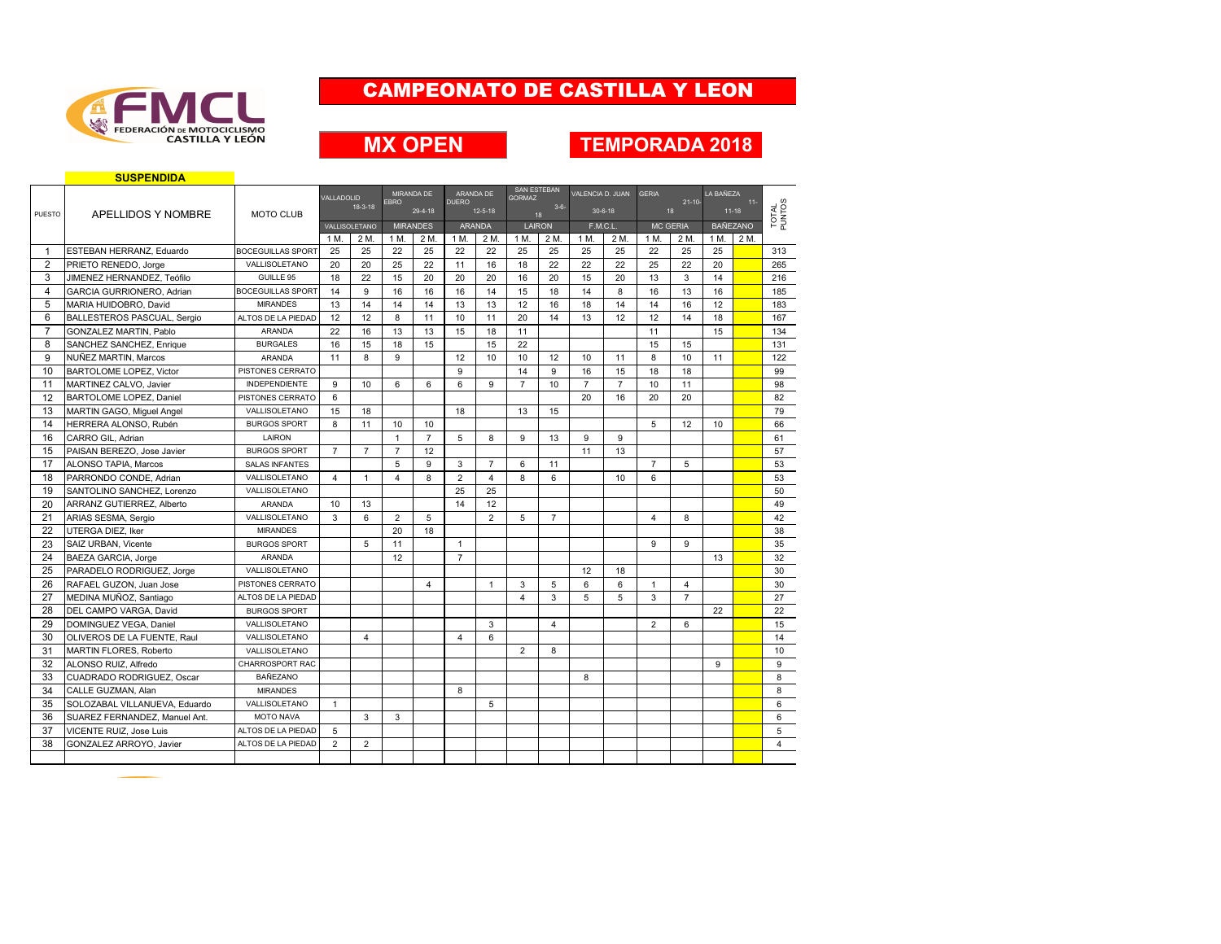

## **MX OPEN**

#### **TEMPORADA 2018**

|                | <b>SUSPENDIDA</b>                |                          |                |                |                |                 |                |                |                                     |                     |                  |                |                |                   |           |                   |                 |
|----------------|----------------------------------|--------------------------|----------------|----------------|----------------|-----------------|----------------|----------------|-------------------------------------|---------------------|------------------|----------------|----------------|-------------------|-----------|-------------------|-----------------|
|                |                                  |                          | VALLADOLID     |                |                | MIRANDA DE      |                | ARANDA DE      | <b>SAN ESTEBAN</b><br><b>GORMAZ</b> |                     | VALENCIA D. JUAN |                | <b>GERIA</b>   |                   | LA BAÑEZA |                   |                 |
| PUESTO         |                                  |                          |                | $18-3-18$      | <b>EBRO</b>    | 29-4-18         | <b>DUERO</b>   | $12 - 5 - 18$  |                                     | $3 - 6 -$           |                  | $30 - 6 - 18$  |                | $21 - 10 -$<br>18 |           | $11 -$<br>$11-18$ | TOTAL<br>PUNTOS |
|                | APELLIDOS Y NOMBRE               | <b>MOTO CLUB</b>         |                | VALLISOLETANO  |                | <b>MIRANDES</b> |                | ARANDA         |                                     | 18<br><b>LAIRON</b> |                  | F.M.C.L.       |                | <b>MC GERIA</b>   |           | <b>BAÑEZANO</b>   |                 |
|                |                                  |                          | 1 M.           | 2 M.           | 1 M.           | 2 M.            | 1 M.           | 2 M.           | 1 M.                                | 2 M.                | 1 M.             | 2 M.           | 1 M.           | 2 M.              | 1 M.      | 2 M.              |                 |
| $\mathbf{1}$   | ESTEBAN HERRANZ, Eduardo         | <b>BOCEGUILLAS SPORT</b> | 25             | 25             | 22             | 25              | 22             | 22             | 25                                  | 25                  | 25               | 25             | 22             | 25                | 25        |                   | 313             |
| 2              | PRIETO RENEDO, Jorge             | VALLISOLETANO            | 20             | 20             | 25             | 22              | 11             | 16             | 18                                  | 22                  | 22               | 22             | 25             | 22                | 20        |                   | 265             |
| 3              | JIMENEZ HERNANDEZ, Teófilo       | GUILLE 95                | 18             | 22             | 15             | 20              | 20             | 20             | 16                                  | 20                  | 15               | 20             | 13             | 3                 | 14        |                   | 216             |
| $\overline{4}$ | <b>GARCIA GURRIONERO, Adrian</b> | <b>BOCEGUILLAS SPORT</b> | 14             | 9              | 16             | 16              | 16             | 14             | 15                                  | 18                  | 14               | 8              | 16             | 13                | 16        |                   | 185             |
| 5              | MARIA HUIDOBRO, David            | <b>MIRANDES</b>          | 13             | 14             | 14             | 14              | 13             | 13             | 12                                  | 16                  | 18               | 14             | 14             | 16                | 12        |                   | 183             |
| 6              | BALLESTEROS PASCUAL, Sergio      | ALTOS DE LA PIEDAD       | 12             | 12             | 8              | 11              | 10             | 11             | 20                                  | 14                  | 13               | 12             | 12             | 14                | 18        |                   | 167             |
| $\overline{7}$ | <b>GONZALEZ MARTIN, Pablo</b>    | ARANDA                   | 22             | 16             | 13             | 13              | 15             | 18             | 11                                  |                     |                  |                | 11             |                   | 15        |                   | 134             |
| 8              | SANCHEZ SANCHEZ, Enrique         | <b>BURGALES</b>          | 16             | 15             | 18             | 15              |                | 15             | 22                                  |                     |                  |                | 15             | 15                |           |                   | 131             |
| 9              | NUÑEZ MARTIN, Marcos             | <b>ARANDA</b>            | 11             | 8              | 9              |                 | 12             | 10             | 10                                  | 12                  | 10               | 11             | 8              | 10                | 11        |                   | 122             |
| 10             | <b>BARTOLOME LOPEZ. Victor</b>   | PISTONES CERRATO         |                |                |                |                 | 9              |                | 14                                  | 9                   | 16               | 15             | 18             | 18                |           |                   | 99              |
| 11             | MARTINEZ CALVO, Javier           | <b>INDEPENDIENTE</b>     | 9              | 10             | 6              | 6               | 6              | 9              | $\overline{7}$                      | 10                  | $\overline{7}$   | $\overline{7}$ | 10             | 11                |           |                   | 98              |
| 12             | BARTOLOME LOPEZ, Daniel          | PISTONES CERRATO         | 6              |                |                |                 |                |                |                                     |                     | 20               | 16             | 20             | 20                |           |                   | 82              |
| 13             | MARTIN GAGO, Miguel Angel        | VALLISOLETANO            | 15             | 18             |                |                 | 18             |                | 13                                  | 15                  |                  |                |                |                   |           |                   | 79              |
| 14             | HERRERA ALONSO, Rubén            | <b>BURGOS SPORT</b>      | 8              | 11             | 10             | 10              |                |                |                                     |                     |                  |                | 5              | 12                | 10        |                   | 66              |
| 16             | CARRO GIL, Adrian                | LAIRON                   |                |                | $\mathbf{1}$   | $\overline{7}$  | 5              | 8              | 9                                   | 13                  | 9                | 9              |                |                   |           |                   | 61              |
| 15             | PAISAN BEREZO, Jose Javier       | <b>BURGOS SPORT</b>      | $\overline{7}$ | $\overline{7}$ | $\overline{7}$ | 12              |                |                |                                     |                     | 11               | 13             |                |                   |           |                   | 57              |
| 17             | <b>ALONSO TAPIA, Marcos</b>      | <b>SALAS INFANTES</b>    |                |                | 5              | 9               | 3              | $\overline{7}$ | 6                                   | 11                  |                  |                | $\overline{7}$ | 5                 |           |                   | 53              |
| 18             | PARRONDO CONDE, Adrian           | VALLISOLETANO            | $\overline{4}$ | $\mathbf{1}$   | $\overline{4}$ | 8               | $\overline{2}$ | $\overline{4}$ | 8                                   | 6                   |                  | 10             | 6              |                   |           |                   | 53              |
| 19             | SANTOLINO SANCHEZ, Lorenzo       | VALLISOLETANO            |                |                |                |                 | 25             | 25             |                                     |                     |                  |                |                |                   |           |                   | 50              |
| 20             | ARRANZ GUTIERREZ, Alberto        | <b>ARANDA</b>            | 10             | 13             |                |                 | 14             | 12             |                                     |                     |                  |                |                |                   |           |                   | 49              |
| 21             | ARIAS SESMA, Sergio              | VALLISOLETANO            | 3              | 6              | $\overline{2}$ | 5               |                | $\overline{2}$ | 5                                   | $\overline{7}$      |                  |                | $\overline{4}$ | 8                 |           |                   | 42              |
| 22             | UTERGA DIEZ, Iker                | <b>MIRANDES</b>          |                |                | 20             | 18              |                |                |                                     |                     |                  |                |                |                   |           |                   | 38              |
| 23             | SAIZ URBAN, Vicente              | <b>BURGOS SPORT</b>      |                | 5              | 11             |                 | $\mathbf{1}$   |                |                                     |                     |                  |                | 9              | 9                 |           |                   | 35              |
| 24             | BAEZA GARCIA, Jorge              | <b>ARANDA</b>            |                |                | 12             |                 | $\overline{7}$ |                |                                     |                     |                  |                |                |                   | 13        |                   | 32              |
| 25             | PARADELO RODRIGUEZ, Jorge        | VALLISOLETANO            |                |                |                |                 |                |                |                                     |                     | 12               | 18             |                |                   |           |                   | 30              |
| 26             | RAFAEL GUZON, Juan Jose          | PISTONES CERRATO         |                |                |                | 4               |                | $\mathbf{1}$   | 3                                   | 5                   | 6                | 6              | $\mathbf{1}$   | 4                 |           |                   | 30              |
| 27             | MEDINA MUÑOZ, Santiago           | ALTOS DE LA PIEDAD       |                |                |                |                 |                |                | 4                                   | 3                   | 5                | 5              | 3              | $\overline{7}$    |           |                   | 27              |
| 28             | DEL CAMPO VARGA, David           | <b>BURGOS SPORT</b>      |                |                |                |                 |                |                |                                     |                     |                  |                |                |                   | 22        |                   | 22              |
| 29             | DOMINGUEZ VEGA, Daniel           | VALLISOLETANO            |                |                |                |                 |                | 3              |                                     | $\overline{4}$      |                  |                | $\overline{2}$ | 6                 |           |                   | 15              |
| 30             | OLIVEROS DE LA FUENTE, Raul      | VALLISOLETANO            |                | $\overline{4}$ |                |                 | $\overline{4}$ | 6              |                                     |                     |                  |                |                |                   |           |                   | 14              |
| 31             | MARTIN FLORES, Roberto           | VALLISOLETANO            |                |                |                |                 |                |                | $\overline{2}$                      | 8                   |                  |                |                |                   |           |                   | 10              |
| 32             | ALONSO RUIZ, Alfredo             | CHARROSPORT RAC          |                |                |                |                 |                |                |                                     |                     |                  |                |                |                   | 9         |                   | 9               |
| 33             | <b>CUADRADO RODRIGUEZ, Oscar</b> | <b>BAÑEZANO</b>          |                |                |                |                 |                |                |                                     |                     | 8                |                |                |                   |           |                   | 8               |
| 34             | CALLE GUZMAN, Alan               | <b>MIRANDES</b>          |                |                |                |                 | 8              |                |                                     |                     |                  |                |                |                   |           |                   | 8               |
| 35             | SOLOZABAL VILLANUEVA. Eduardo    | VALLISOLETANO            | $\mathbf{1}$   |                |                |                 |                | 5              |                                     |                     |                  |                |                |                   |           |                   | 6               |
| 36             | SUAREZ FERNANDEZ. Manuel Ant.    | <b>MOTO NAVA</b>         |                | 3              | 3              |                 |                |                |                                     |                     |                  |                |                |                   |           |                   | 6               |
| 37             | VICENTE RUIZ, Jose Luis          | ALTOS DE LA PIEDAD       | 5              |                |                |                 |                |                |                                     |                     |                  |                |                |                   |           |                   | 5               |
| 38             | GONZALEZ ARROYO, Javier          | ALTOS DE LA PIEDAD       | $\overline{2}$ | 2              |                |                 |                |                |                                     |                     |                  |                |                |                   |           |                   | 4               |
|                |                                  |                          |                |                |                |                 |                |                |                                     |                     |                  |                |                |                   |           |                   |                 |
|                |                                  |                          |                |                |                |                 |                |                |                                     |                     |                  |                |                |                   |           |                   |                 |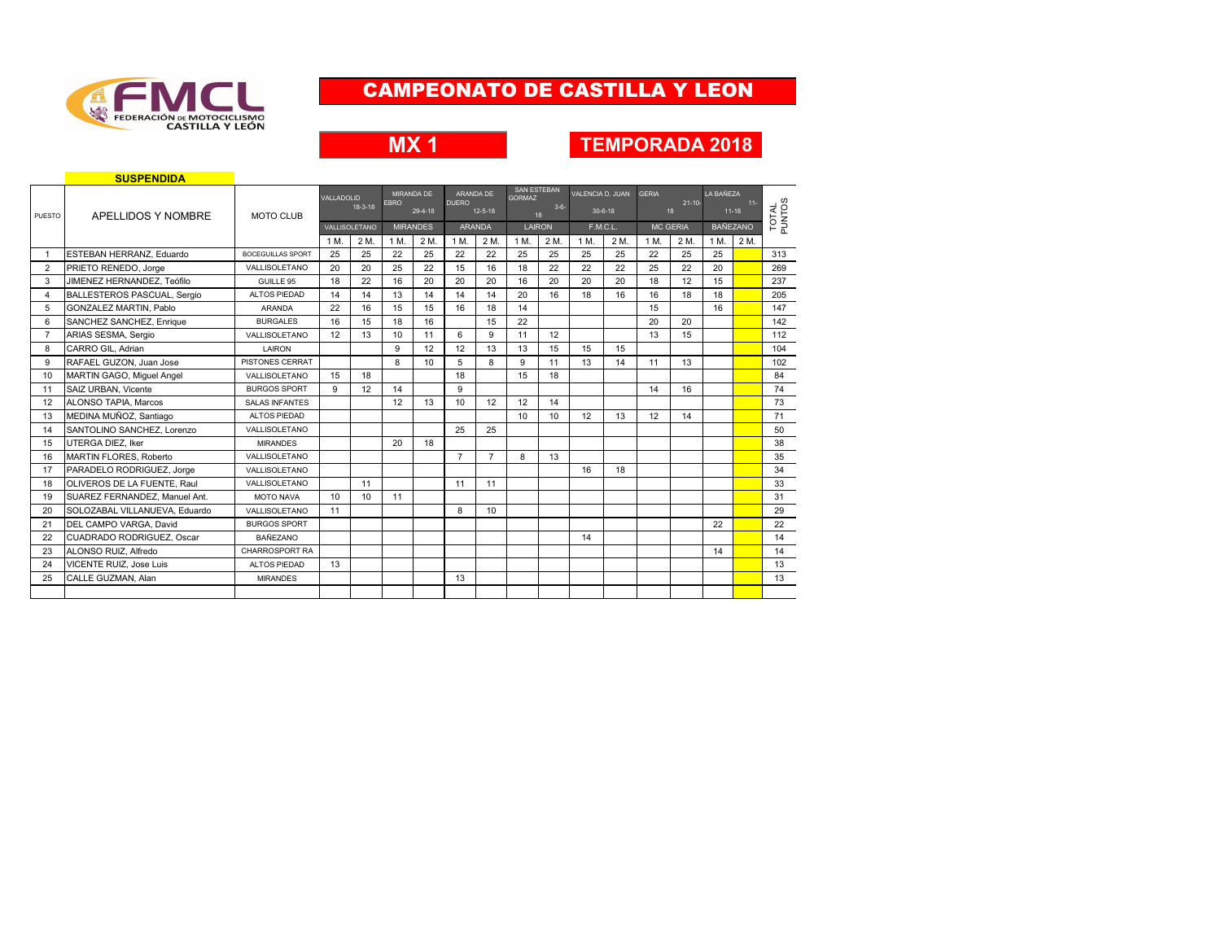

## **MX 1 TEMPORADA 2018**

|                | <b>SUSPENDIDA</b>                  |                          |            |               |             |                 |                |                |                                     |                 |                  |               |              |                   |           |                     |                 |
|----------------|------------------------------------|--------------------------|------------|---------------|-------------|-----------------|----------------|----------------|-------------------------------------|-----------------|------------------|---------------|--------------|-------------------|-----------|---------------------|-----------------|
|                |                                    |                          | VALLADOLID |               |             | MIRANDA DE      |                | ARANDA DE      | <b>SAN ESTEBAN</b><br><b>GORMAZ</b> |                 | VALENCIA D. JUAN |               | <b>GERIA</b> |                   | LA BAÑEZA |                     |                 |
| PUESTO         | APELLIDOS Y NOMBRE                 | <b>MOTO CLUB</b>         |            | $18-3-18$     | <b>EBRO</b> | 29-4-18         | <b>DUERO</b>   | $12 - 5 - 18$  |                                     | $3 - 6 -$<br>18 |                  | $30 - 6 - 18$ |              | $21 - 10 -$<br>18 |           | $11 -$<br>$11 - 18$ |                 |
|                |                                    |                          |            | VALLISOLETANO |             | <b>MIRANDES</b> |                | <b>ARANDA</b>  |                                     | LAIRON          |                  | F.M.C.L.      |              | <b>MC GERIA</b>   |           | <b>BAÑEZANO</b>     | TOTAL<br>PUNTOS |
|                |                                    |                          | 1 M.       | 2 M.          | 1 M.        | 2 M.            | 1 M.           | 2 M.           | 1 M.                                | 2 M.            | 1 M              | 2 M.          | 1 M.         | 2 M.              | 1 M.      | 2 M.                |                 |
|                | ESTEBAN HERRANZ, Eduardo           | <b>BOCEGUILLAS SPORT</b> | 25         | 25            | 22          | 25              | 22             | 22             | 25                                  | 25              | 25               | 25            | 22           | 25                | 25        |                     | 313             |
| 2              | PRIETO RENEDO, Jorge               | VALLISOLETANO            | 20         | 20            | 25          | 22              | 15             | 16             | 18                                  | 22              | 22               | 22            | 25           | 22                | 20        |                     | 269             |
| 3              | JIMENEZ HERNANDEZ. Teófilo         | GUILLE 95                | 18         | 22            | 16          | 20              | 20             | 20             | 16                                  | 20              | 20               | 20            | 18           | 12                | 15        |                     | 237             |
| 4              | <b>BALLESTEROS PASCUAL, Sergio</b> | ALTOS PIEDAD             | 14         | 14            | 13          | 14              | 14             | 14             | 20                                  | 16              | 18               | 16            | 16           | 18                | 18        |                     | 205             |
| 5              | <b>GONZALEZ MARTIN, Pablo</b>      | <b>ARANDA</b>            | 22         | 16            | 15          | 15              | 16             | 18             | 14                                  |                 |                  |               | 15           |                   | 16        |                     | 147             |
| 6              | SANCHEZ SANCHEZ, Enrique           | <b>BURGALES</b>          | 16         | 15            | 18          | 16              |                | 15             | 22                                  |                 |                  |               | 20           | 20                |           |                     | 142             |
| $\overline{7}$ | ARIAS SESMA, Sergio                | VALLISOLETANO            | 12         | 13            | 10          | 11              | 6              | 9              | 11                                  | 12              |                  |               | 13           | 15                |           |                     | 112             |
| 8              | CARRO GIL, Adrian                  | LAIRON                   |            |               | 9           | 12              | 12             | 13             | 13                                  | 15              | 15               | 15            |              |                   |           |                     | 104             |
| 9              | RAFAEL GUZON, Juan Jose            | PISTONES CERRAT          |            |               | 8           | 10              | 5              | 8              | 9                                   | 11              | 13               | 14            | 11           | 13                |           |                     | 102             |
| 10             | MARTIN GAGO, Miquel Angel          | VALLISOLETANO            | 15         | 18            |             |                 | 18             |                | 15                                  | 18              |                  |               |              |                   |           |                     | 84              |
| 11             | SAIZ URBAN, Vicente                | <b>BURGOS SPORT</b>      | 9          | 12            | 14          |                 | 9              |                |                                     |                 |                  |               | 14           | 16                |           |                     | 74              |
| 12             | <b>ALONSO TAPIA, Marcos</b>        | <b>SALAS INFANTES</b>    |            |               | 12          | 13              | 10             | 12             | 12                                  | 14              |                  |               |              |                   |           |                     | 73              |
| 13             | MEDINA MUÑOZ, Santiago             | ALTOS PIEDAD             |            |               |             |                 |                |                | 10 <sup>10</sup>                    | 10              | 12               | 13            | 12           | 14                |           |                     | 71              |
| 14             | SANTOLINO SANCHEZ, Lorenzo         | VALLISOL FTANO           |            |               |             |                 | 25             | 25             |                                     |                 |                  |               |              |                   |           |                     | 50              |
| 15             | UTERGA DIEZ. Iker                  | <b>MIRANDES</b>          |            |               | 20          | 18              |                |                |                                     |                 |                  |               |              |                   |           |                     | 38              |
| 16             | <b>MARTIN FLORES, Roberto</b>      | VALLISOLETANO            |            |               |             |                 | $\overline{7}$ | $\overline{7}$ | 8                                   | 13              |                  |               |              |                   |           |                     | 35              |
| 17             | PARADELO RODRIGUEZ, Jorge          | VALLISOLETANO            |            |               |             |                 |                |                |                                     |                 | 16               | 18            |              |                   |           |                     | 34              |
| 18             | OLIVEROS DE LA FUENTE, Raul        | VALLISOLETANO            |            | 11            |             |                 | 11             | 11             |                                     |                 |                  |               |              |                   |           |                     | 33              |
| 19             | SUAREZ FERNANDEZ. Manuel Ant.      | MOTO NAVA                | 10         | 10            | 11          |                 |                |                |                                     |                 |                  |               |              |                   |           |                     | 31              |
| 20             | SOLOZABAL VILLANUEVA, Eduardo      | VALLISOLETANO            | 11         |               |             |                 | 8              | 10             |                                     |                 |                  |               |              |                   |           |                     | 29              |
| 21             | DEL CAMPO VARGA, David             | <b>BURGOS SPORT</b>      |            |               |             |                 |                |                |                                     |                 |                  |               |              |                   | 22        |                     | 22              |
| 22             | CUADRADO RODRIGUEZ, Oscar          | <b>BAÑEZANO</b>          |            |               |             |                 |                |                |                                     |                 | 14               |               |              |                   |           |                     | 14              |
| 23             | ALONSO RUIZ, Alfredo               | CHARROSPORT RA           |            |               |             |                 |                |                |                                     |                 |                  |               |              |                   | 14        |                     | 14              |
| 24             | VICENTE RUIZ, Jose Luis            | ALTOS PIEDAD             | 13         |               |             |                 |                |                |                                     |                 |                  |               |              |                   |           |                     | 13              |
| 25             | CALLE GUZMAN, Alan                 | <b>MIRANDES</b>          |            |               |             |                 | 13             |                |                                     |                 |                  |               |              |                   |           |                     | 13              |
|                |                                    |                          |            |               |             |                 |                |                |                                     |                 |                  |               |              |                   |           |                     |                 |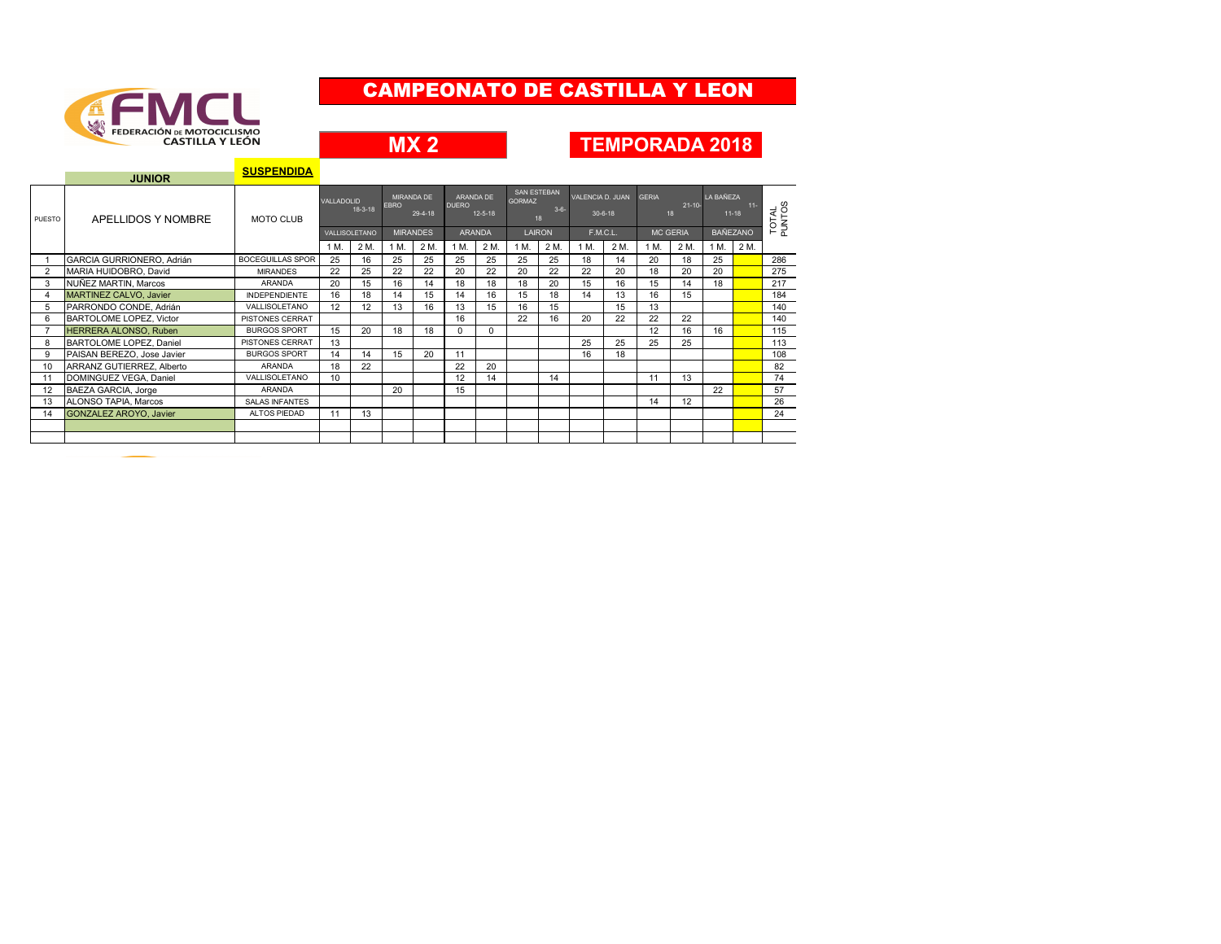

**MX 2**

#### **TEMPORADA 2018**

**SUSPENDIDA**

|                | <b>JUNIOR</b>                 | <b>SUSPENDIDA</b>       |                                          |      |                                      |      |                                            |          |                                              |      |                               |      |                                   |      |                      |      |                 |
|----------------|-------------------------------|-------------------------|------------------------------------------|------|--------------------------------------|------|--------------------------------------------|----------|----------------------------------------------|------|-------------------------------|------|-----------------------------------|------|----------------------|------|-----------------|
| PUESTO         | APELLIDOS Y NOMBRE            | <b>MOTO CLUB</b>        | VALLADOLID<br>$18-3-18$<br>VALLISOLETANO |      | MIRANDA DE<br><b>EBRO</b><br>29-4-18 |      | ARANDA DE<br><b>DUERO</b><br>$12 - 5 - 18$ |          | SAN ESTEBAN<br><b>GORMAZ</b><br>$3-6-$<br>18 |      | VALENCIA D. JUAN<br>$30-6-18$ |      | <b>GERIA</b><br>$21 - 10 -$<br>18 |      | LA BAÑEZA<br>$11-18$ |      | TOTAL<br>PUNTOS |
|                |                               |                         |                                          |      | <b>MIRANDES</b>                      |      | <b>ARANDA</b>                              |          | LAIRON                                       |      | F.M.C.L.                      |      | <b>MC GERIA</b>                   |      | <b>BAÑEZANO</b>      |      |                 |
|                |                               |                         | 1 M.                                     | 2 M. | 1 M.                                 | 2 M. | 1 M.                                       | 2 M.     | 1 M.                                         | 2 M. | 1 M.                          | 2 M. | 1 M.                              | 2 M. | 1 M.                 | 2 M. |                 |
|                | GARCIA GURRIONERO, Adrián     | <b>BOCEGUILLAS SPOR</b> | 25                                       | 16   | 25                                   | 25   | 25                                         | 25       | 25                                           | 25   | 18                            | 14   | 20                                | 18   | 25                   |      | 286             |
| $\overline{2}$ | MARIA HUIDOBRO, David         | <b>MIRANDES</b>         | 22                                       | 25   | 22                                   | 22   | 20                                         | 22       | 20                                           | 22   | 22                            | 20   | 18                                | 20   | 20                   |      | 275             |
| 3              | NUÑEZ MARTIN, Marcos          | <b>ARANDA</b>           | 20                                       | 15   | 16                                   | 14   | 18                                         | 18       | 18                                           | 20   | 15                            | 16   | 15                                | 14   | 18                   |      | 217             |
| $\overline{4}$ | <b>MARTINEZ CALVO, Javier</b> | <b>INDEPENDIENTE</b>    | 16                                       | 18   | 14                                   | 15   | 14                                         | 16       | 15                                           | 18   | 14                            | 13   | 16                                | 15   |                      |      | 184             |
| 5              | PARRONDO CONDE, Adrián        | VALLISOLETANO           | 12                                       | 12   | 13                                   | 16   | 13                                         | 15       | 16                                           | 15   |                               | 15   | 13                                |      |                      |      | 140             |
| 6              | BARTOLOME LOPEZ, Victor       | PISTONES CERRAT         |                                          |      |                                      |      | 16                                         |          | 22                                           | 16   | 20                            | 22   | 22                                | 22   |                      |      | 140             |
| $\overline{z}$ | HERRERA ALONSO, Ruben         | <b>BURGOS SPORT</b>     | 15                                       | 20   | 18                                   | 18   | $\Omega$                                   | $\Omega$ |                                              |      |                               |      | 12                                | 16   | 16                   |      | 115             |
| 8              | BARTOLOME LOPEZ, Daniel       | PISTONES CERRAT         | 13                                       |      |                                      |      |                                            |          |                                              |      | 25                            | 25   | 25                                | 25   |                      |      | 113             |
| 9              | PAISAN BEREZO, Jose Javier    | <b>BURGOS SPORT</b>     | 14                                       | 14   | 15                                   | 20   | 11                                         |          |                                              |      | 16                            | 18   |                                   |      |                      |      | 108             |
| 10             | ARRANZ GUTIERREZ, Alberto     | <b>ARANDA</b>           | 18                                       | 22   |                                      |      | 22                                         | 20       |                                              |      |                               |      |                                   |      |                      |      | 82              |
| 11             | DOMINGUEZ VEGA, Daniel        | VALLISOLETANO           | 10                                       |      |                                      |      | 12                                         | 14       |                                              | 14   |                               |      | 11                                | 13   |                      |      | 74              |
| 12             | BAEZA GARCIA, Jorge           | <b>ARANDA</b>           |                                          |      | 20                                   |      | 15                                         |          |                                              |      |                               |      |                                   |      | 22                   |      | 57              |
| 13             | ALONSO TAPIA, Marcos          | <b>SALAS INFANTES</b>   |                                          |      |                                      |      |                                            |          |                                              |      |                               |      | 14                                | 12   |                      |      | 26              |
| 14             | <b>GONZALEZ AROYO, Javier</b> | ALTOS PIEDAD            | 11                                       | 13   |                                      |      |                                            |          |                                              |      |                               |      |                                   |      |                      |      | 24              |
|                |                               |                         |                                          |      |                                      |      |                                            |          |                                              |      |                               |      |                                   |      |                      |      |                 |
|                |                               |                         |                                          |      |                                      |      |                                            |          |                                              |      |                               |      |                                   |      |                      |      |                 |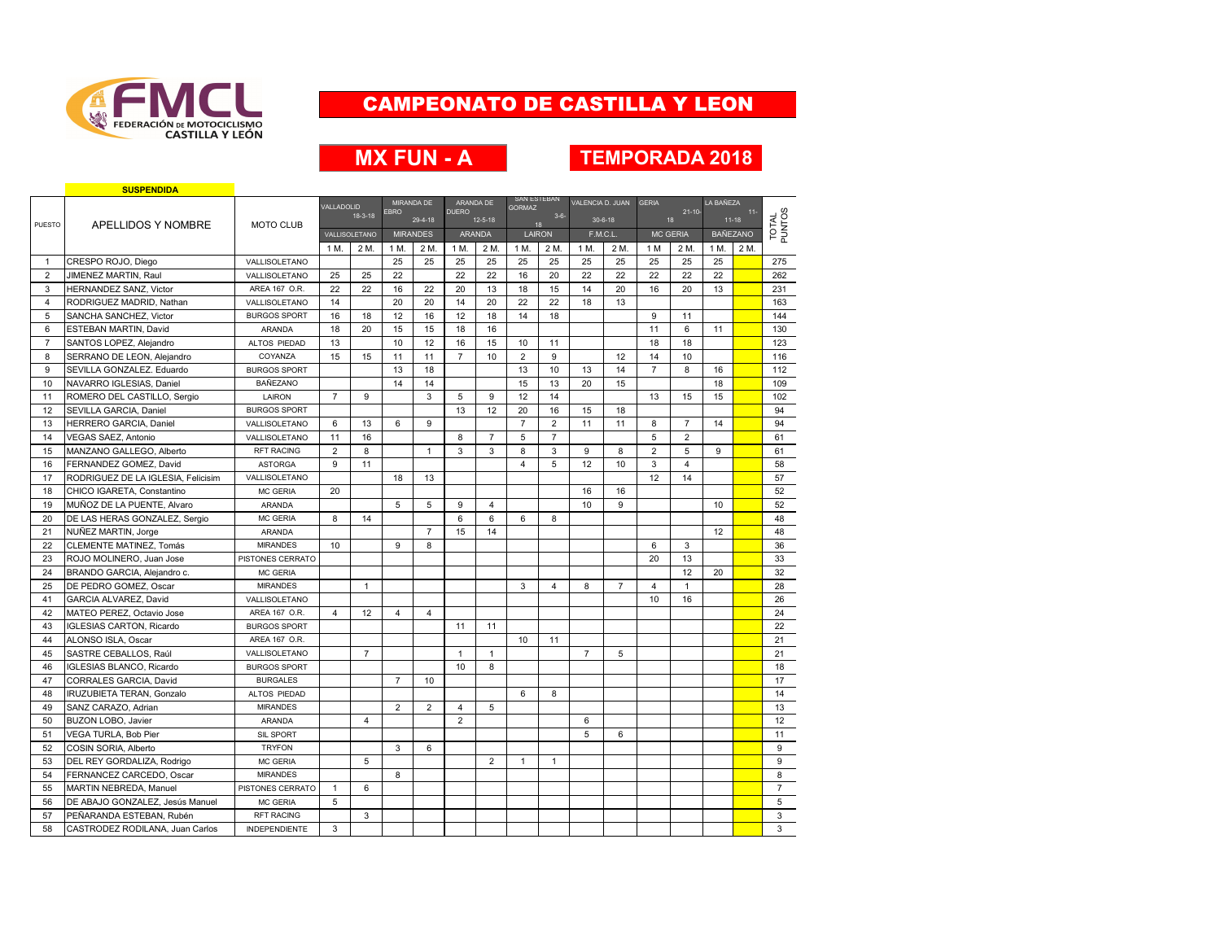

# **MX FUN - A TEMPORADA 2018**

|                | <b>SUSPENDIDA</b>                  |                      |                |                |                |                 |                |                |                                     |                |                  |                |                   |                 |                    |                 |                 |
|----------------|------------------------------------|----------------------|----------------|----------------|----------------|-----------------|----------------|----------------|-------------------------------------|----------------|------------------|----------------|-------------------|-----------------|--------------------|-----------------|-----------------|
|                |                                    |                      | VALLADOLID     |                | MIRANDA DE     |                 | ARANDA DE      |                | <b>SAN ESTEBAN</b><br><b>GORMAZ</b> |                | VALENCIA D. JUAN |                | <b>GERIA</b>      |                 | LA BAÑEZA          |                 |                 |
|                |                                    |                      |                | $18-3-18$      | <b>EBRO</b>    | 29-4-18         | <b>DUERO</b>   | $12 - 5 - 18$  |                                     | $3 - 6 -$      |                  | $30-6-18$      | $21 - 10 -$<br>18 |                 | $11-$<br>$11 - 18$ |                 | TOTAL<br>PUNTOS |
| <b>PUESTO</b>  | APELLIDOS Y NOMBRE                 | <b>MOTO CLUB</b>     |                | VALLISOLETANO  |                | <b>MIRANDES</b> |                | <b>ARANDA</b>  | LAIRON                              | 18             | F.M.C.L.         |                |                   | <b>MC GERIA</b> |                    | <b>BAÑEZANO</b> |                 |
|                |                                    |                      | 1 M.           | 2 M.           | 1 M.           | 2 M.            | 1 M.           | 2 M.           | 1 M.                                | 2 M.           | 1 M.             | 2 M.           | 1 M               | 2 M.            | 1 M.               | 2 M             |                 |
| $\mathbf{1}$   | CRESPO ROJO, Diego                 | VALLISOLETANO        |                |                | 25             | 25              | 25             | 25             | 25                                  | 25             | 25               | 25             | 25                | 25              | 25                 |                 | 275             |
| $\overline{2}$ | <b>JIMENEZ MARTIN, Raul</b>        | VALLISOLETANO        | 25             | 25             | 22             |                 | 22             | 22             | 16                                  | 20             | 22               | 22             | 22                | 22              | 22                 |                 | 262             |
| 3              | <b>HERNANDEZ SANZ. Victor</b>      | AREA 167 O.R.        | 22             | 22             | 16             | 22              | 20             | 13             | 18                                  | 15             | 14               | 20             | 16                | 20              | 13                 |                 | 231             |
| $\overline{4}$ | RODRIGUEZ MADRID, Nathan           | VALLISOLETANO        | 14             |                | 20             | 20              | 14             | 20             | 22                                  | 22             | 18               | 13             |                   |                 |                    |                 | 163             |
| 5              | SANCHA SANCHEZ. Victor             | <b>BURGOS SPORT</b>  | 16             | 18             | 12             | 16              | 12             | 18             | 14                                  | 18             |                  |                | 9                 | 11              |                    |                 | 144             |
| 6              | ESTEBAN MARTIN, David              | <b>ARANDA</b>        | 18             | 20             | 15             | 15              | 18             | 16             |                                     |                |                  |                | 11                | 6               | 11                 |                 | 130             |
| $\overline{7}$ | SANTOS LOPEZ, Alejandro            | ALTOS PIEDAD         | 13             |                | 10             | 12              | 16             | 15             | 10                                  | 11             |                  |                | 18                | 18              |                    |                 | 123             |
| 8              | SERRANO DE LEON, Alejandro         | COYANZA              | 15             | 15             | 11             | 11              | $\overline{7}$ | 10             | $\overline{2}$                      | 9              |                  | 12             | 14                | 10              |                    |                 | 116             |
| 9              | SEVILLA GONZALEZ. Eduardo          | <b>BURGOS SPORT</b>  |                |                | 13             | 18              |                |                | 13                                  | 10             | 13               | 14             | $\overline{7}$    | 8               | 16                 |                 | 112             |
| 10             | NAVARRO IGLESIAS, Daniel           | <b>BAÑEZANO</b>      |                |                | 14             | 14              |                |                | 15                                  | 13             | 20               | 15             |                   |                 | 18                 |                 | 109             |
| 11             | ROMERO DEL CASTILLO, Sergio        | LAIRON               | $\overline{7}$ | 9              |                | 3               | 5              | 9              | 12                                  | 14             |                  |                | 13                | 15              | 15                 |                 | 102             |
| 12             | SEVILLA GARCIA, Daniel             | <b>BURGOS SPORT</b>  |                |                |                |                 | 13             | 12             | 20                                  | 16             | 15               | 18             |                   |                 |                    |                 | 94              |
| 13             | <b>HERRERO GARCIA, Daniel</b>      | VALLISOLETANO        | 6              | 13             | 6              | 9               |                |                | $\overline{7}$                      | $\overline{2}$ | 11               | 11             | 8                 | $\overline{7}$  | 14                 |                 | 94              |
| 14             | <b>VEGAS SAEZ, Antonio</b>         | VALLISOLETANO        | 11             | 16             |                |                 | 8              | $\overline{7}$ | 5                                   | $\overline{7}$ |                  |                | 5                 | $\overline{2}$  |                    |                 | 61              |
| 15             | MANZANO GALLEGO, Alberto           | <b>RFT RACING</b>    | $\overline{2}$ | 8              |                | $\mathbf{1}$    | 3              | 3              | 8                                   | 3              | 9                | 8              | $\overline{2}$    | 5               | 9                  |                 | 61              |
| 16             | FERNANDEZ GOMEZ, David             | <b>ASTORGA</b>       | 9              | 11             |                |                 |                |                | $\overline{4}$                      | 5              | 12               | 10             | 3                 | $\overline{4}$  |                    |                 | 58              |
| 17             | RODRIGUEZ DE LA IGLESIA. Felicisim | VALLISOLETANO        |                |                | 18             | 13              |                |                |                                     |                |                  |                | 12                | 14              |                    |                 | 57              |
| 18             | CHICO IGARETA, Constantino         | <b>MC GERIA</b>      | 20             |                |                |                 |                |                |                                     |                | 16               | 16             |                   |                 |                    |                 | 52              |
| 19             | MUÑOZ DE LA PUENTE, Alvaro         | ARANDA               |                |                | 5              | 5               | 9              | $\overline{4}$ |                                     |                | 10               | 9              |                   |                 | 10                 |                 | 52              |
| 20             | DE LAS HERAS GONZALEZ, Sergio      | MC GERIA             | 8              | 14             |                |                 | 6              | 6              | 6                                   | 8              |                  |                |                   |                 |                    |                 | 48              |
| 21             | NUÑEZ MARTIN, Jorge                | ARANDA               |                |                |                | $\overline{7}$  | 15             | 14             |                                     |                |                  |                |                   |                 | 12                 |                 | 48              |
| 22             | <b>CLEMENTE MATINEZ. Tomás</b>     | <b>MIRANDES</b>      | 10             |                | 9              | 8               |                |                |                                     |                |                  |                | 6                 | 3               |                    |                 | 36              |
| 23             | ROJO MOLINERO, Juan Jose           | PISTONES CERRATO     |                |                |                |                 |                |                |                                     |                |                  |                | 20                | 13              |                    |                 | 33              |
| 24             | BRANDO GARCIA, Alejandro c.        | MC GERIA             |                |                |                |                 |                |                |                                     |                |                  |                |                   | 12              | 20                 |                 | 32              |
| 25             | DE PEDRO GOMEZ, Oscar              | <b>MIRANDES</b>      |                | $\mathbf{1}$   |                |                 |                |                | 3                                   | $\overline{4}$ | 8                | $\overline{7}$ | 4                 | $\mathbf{1}$    |                    |                 | 28              |
| 41             | <b>GARCIA ALVAREZ, David</b>       | VALLISOLETANO        |                |                |                |                 |                |                |                                     |                |                  |                | 10                | 16              |                    |                 | 26              |
| 42             | MATEO PEREZ, Octavio Jose          | AREA 167 O.R.        | 4              | 12             | 4              | 4               |                |                |                                     |                |                  |                |                   |                 |                    |                 | 24              |
| 43             | <b>IGLESIAS CARTON, Ricardo</b>    | <b>BURGOS SPORT</b>  |                |                |                |                 | 11             | 11             |                                     |                |                  |                |                   |                 |                    |                 | 22              |
| 44             | ALONSO ISLA, Oscar                 | AREA 167 O.R.        |                |                |                |                 |                |                | 10                                  | 11             |                  |                |                   |                 |                    |                 | 21              |
| 45             | SASTRE CEBALLOS, Raúl              | VALLISOLETANO        |                | $\overline{7}$ |                |                 | $\mathbf{1}$   | $\mathbf{1}$   |                                     |                | $\overline{7}$   | 5              |                   |                 |                    |                 | 21              |
| 46             | IGLESIAS BLANCO, Ricardo           | <b>BURGOS SPORT</b>  |                |                |                |                 | 10             | 8              |                                     |                |                  |                |                   |                 |                    |                 | 18              |
| 47             | CORRALES GARCIA, David             | <b>BURGALES</b>      |                |                | $\overline{7}$ | 10              |                |                |                                     |                |                  |                |                   |                 |                    |                 | 17              |
| 48             | <b>IRUZUBIETA TERAN, Gonzalo</b>   | ALTOS PIEDAD         |                |                |                |                 |                |                | 6                                   | 8              |                  |                |                   |                 |                    |                 | 14              |
| 49             | SANZ CARAZO, Adrian                | <b>MIRANDES</b>      |                |                | $\overline{2}$ | $\overline{2}$  | 4              | 5              |                                     |                |                  |                |                   |                 |                    |                 | 13              |
| 50             | <b>BUZON LOBO, Javier</b>          | ARANDA               |                | $\overline{4}$ |                |                 | $\overline{2}$ |                |                                     |                | 6                |                |                   |                 |                    |                 | 12              |
| 51             | VEGA TURLA, Bob Pier               | SIL SPORT            |                |                |                |                 |                |                |                                     |                | 5                | 6              |                   |                 |                    |                 | 11              |
| 52             | COSIN SORIA, Alberto               | <b>TRYFON</b>        |                |                | 3              | 6               |                |                |                                     |                |                  |                |                   |                 |                    |                 | 9               |
| 53             | DEL REY GORDALIZA, Rodrigo         | <b>MC GERIA</b>      |                | 5              |                |                 |                | $\overline{2}$ | $\mathbf{1}$                        | $\mathbf{1}$   |                  |                |                   |                 |                    |                 | 9               |
| 54             | FERNANCEZ CARCEDO, Oscar           | <b>MIRANDES</b>      |                |                | 8              |                 |                |                |                                     |                |                  |                |                   |                 |                    |                 | 8               |
| 55             | <b>MARTIN NEBREDA, Manuel</b>      | PISTONES CERRATO     | $\mathbf{1}$   | 6              |                |                 |                |                |                                     |                |                  |                |                   |                 |                    |                 | $\overline{7}$  |
| 56             | DE ABAJO GONZALEZ, Jesús Manuel    | <b>MC GERIA</b>      | 5              |                |                |                 |                |                |                                     |                |                  |                |                   |                 |                    |                 | 5               |
| 57             | PEÑARANDA ESTEBAN, Rubén           | <b>RFT RACING</b>    |                | 3              |                |                 |                |                |                                     |                |                  |                |                   |                 |                    |                 | 3               |
| 58             | CASTRODEZ RODILANA, Juan Carlos    | <b>INDEPENDIENTE</b> | 3              |                |                |                 |                |                |                                     |                |                  |                |                   |                 |                    |                 | 3               |